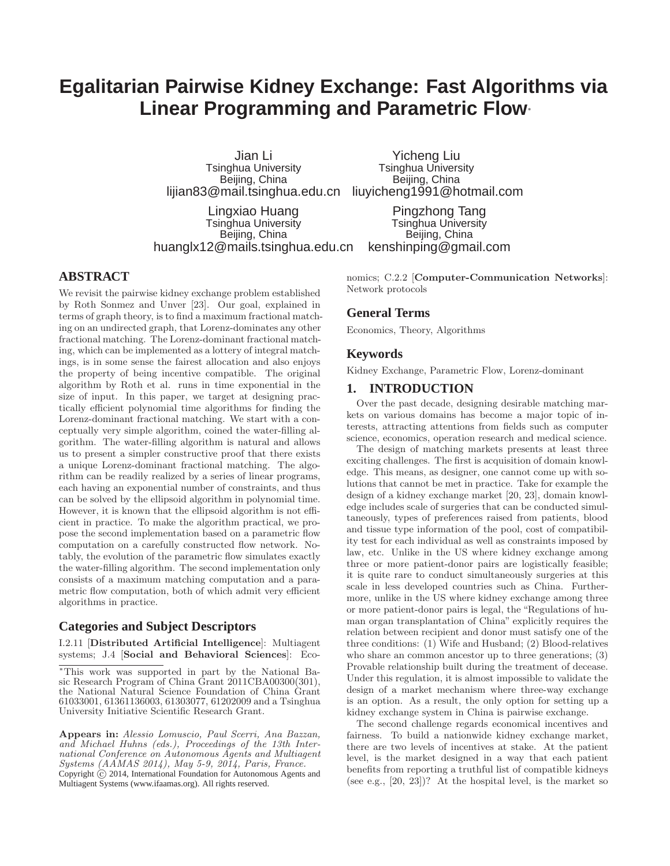# **Egalitarian Pairwise Kidney Exchange: Fast Algorithms via Linear Programming and Parametric Flow**<sup>∗</sup>

Jian Li Tsinghua University Beijing, China

lijian83@mail.tsinghua.edu.cn liuyicheng1991@hotmail.com Yicheng Liu Tsinghua University Beijing, China

Lingxiao Huang Tsinghua University Beijing, China huanglx12@mails.tsinghua.edu.cn

Pingzhong Tang Tsinghua University Beijing, China kenshinping@gmail.com

# **ABSTRACT**

We revisit the pairwise kidney exchange problem established by Roth Sonmez and Unver [23]. Our goal, explained in terms of graph theory, is to find a maximum fractional matching on an undirected graph, that Lorenz-dominates any other fractional matching. The Lorenz-dominant fractional matching, which can be implemented as a lottery of integral matchings, is in some sense the fairest allocation and also enjoys the property of being incentive compatible. The original algorithm by Roth et al. runs in time exponential in the size of input. In this paper, we target at designing practically efficient polynomial time algorithms for finding the Lorenz-dominant fractional matching. We start with a conceptually very simple algorithm, coined the water-filling algorithm. The water-filling algorithm is natural and allows us to present a simpler constructive proof that there exists a unique Lorenz-dominant fractional matching. The algorithm can be readily realized by a series of linear programs, each having an exponential number of constraints, and thus can be solved by the ellipsoid algorithm in polynomial time. However, it is known that the ellipsoid algorithm is not efficient in practice. To make the algorithm practical, we propose the second implementation based on a parametric flow computation on a carefully constructed flow network. Notably, the evolution of the parametric flow simulates exactly the water-filling algorithm. The second implementation only consists of a maximum matching computation and a parametric flow computation, both of which admit very efficient algorithms in practice.

# **Categories and Subject Descriptors**

I.2.11 [Distributed Artificial Intelligence]: Multiagent systems; J.4 [Social and Behavioral Sciences]: Economics; C.2.2 [Computer-Communication Networks]: Network protocols

# **General Terms**

Economics, Theory, Algorithms

## **Keywords**

Kidney Exchange, Parametric Flow, Lorenz-dominant

#### **1. INTRODUCTION**

Over the past decade, designing desirable matching markets on various domains has become a major topic of interests, attracting attentions from fields such as computer science, economics, operation research and medical science.

The design of matching markets presents at least three exciting challenges. The first is acquisition of domain knowledge. This means, as designer, one cannot come up with solutions that cannot be met in practice. Take for example the design of a kidney exchange market [20, 23], domain knowledge includes scale of surgeries that can be conducted simultaneously, types of preferences raised from patients, blood and tissue type information of the pool, cost of compatibility test for each individual as well as constraints imposed by law, etc. Unlike in the US where kidney exchange among three or more patient-donor pairs are logistically feasible; it is quite rare to conduct simultaneously surgeries at this scale in less developed countries such as China. Furthermore, unlike in the US where kidney exchange among three or more patient-donor pairs is legal, the "Regulations of human organ transplantation of China" explicitly requires the relation between recipient and donor must satisfy one of the three conditions: (1) Wife and Husband; (2) Blood-relatives who share an common ancestor up to three generations; (3) Provable relationship built during the treatment of decease. Under this regulation, it is almost impossible to validate the design of a market mechanism where three-way exchange is an option. As a result, the only option for setting up a kidney exchange system in China is pairwise exchange.

The second challenge regards economical incentives and fairness. To build a nationwide kidney exchange market, there are two levels of incentives at stake. At the patient level, is the market designed in a way that each patient benefits from reporting a truthful list of compatible kidneys (see e.g., [20, 23])? At the hospital level, is the market so

<sup>∗</sup>This work was supported in part by the National Basic Research Program of China Grant 2011CBA00300(301), the National Natural Science Foundation of China Grant 61033001, 61361136003, 61303077, 61202009 and a Tsinghua University Initiative Scientific Research Grant.

Appears in: *Alessio Lomuscio, Paul Scerri, Ana Bazzan, and Michael Huhns (eds.), Proceedings of the 13th International Conference on Autonomous Agents and Multiagent Systems (AAMAS 2014), May 5-9, 2014, Paris, France.* Copyright (c) 2014, International Foundation for Autonomous Agents and Multiagent Systems (www.ifaamas.org). All rights reserved.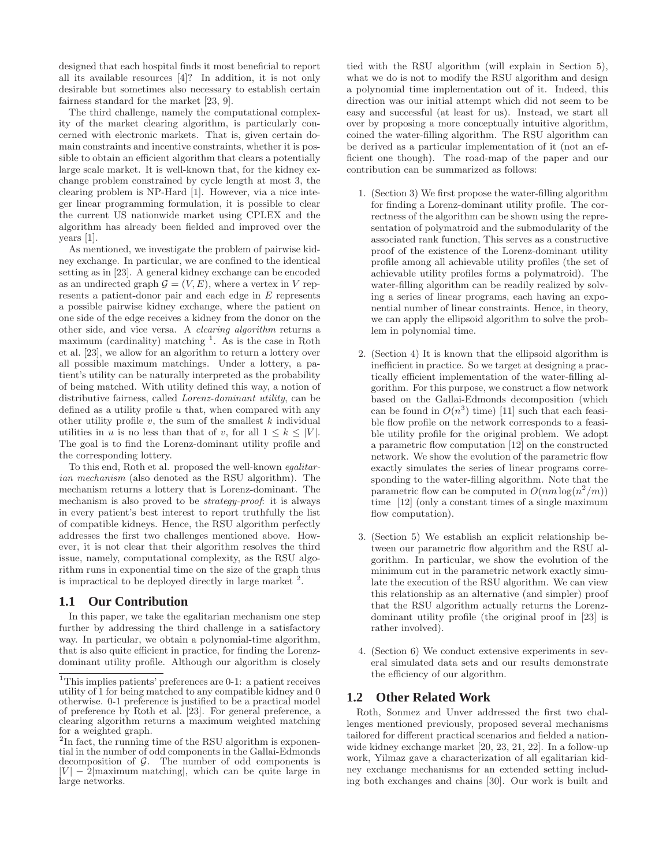designed that each hospital finds it most beneficial to report all its available resources [4]? In addition, it is not only desirable but sometimes also necessary to establish certain fairness standard for the market [23, 9].

The third challenge, namely the computational complexity of the market clearing algorithm, is particularly concerned with electronic markets. That is, given certain domain constraints and incentive constraints, whether it is possible to obtain an efficient algorithm that clears a potentially large scale market. It is well-known that, for the kidney exchange problem constrained by cycle length at most 3, the clearing problem is NP-Hard [1]. However, via a nice integer linear programming formulation, it is possible to clear the current US nationwide market using CPLEX and the algorithm has already been fielded and improved over the years [1].

As mentioned, we investigate the problem of pairwise kidney exchange. In particular, we are confined to the identical setting as in [23]. A general kidney exchange can be encoded as an undirected graph  $\mathcal{G} = (V, E)$ , where a vertex in V represents a patient-donor pair and each edge in E represents a possible pairwise kidney exchange, where the patient on one side of the edge receives a kidney from the donor on the other side, and vice versa. A *clearing algorithm* returns a maximum (cardinality) matching <sup>1</sup>. As is the case in Roth et al. [23], we allow for an algorithm to return a lottery over all possible maximum matchings. Under a lottery, a patient's utility can be naturally interpreted as the probability of being matched. With utility defined this way, a notion of distributive fairness, called *Lorenz-dominant utility*, can be defined as a utility profile  $u$  that, when compared with any other utility profile  $v$ , the sum of the smallest  $k$  individual utilities in u is no less than that of v, for all  $1 \leq k \leq |V|$ . The goal is to find the Lorenz-dominant utility profile and the corresponding lottery.

To this end, Roth et al. proposed the well-known *egalitarian mechanism* (also denoted as the RSU algorithm). The mechanism returns a lottery that is Lorenz-dominant. The mechanism is also proved to be *strategy-proof*: it is always in every patient's best interest to report truthfully the list of compatible kidneys. Hence, the RSU algorithm perfectly addresses the first two challenges mentioned above. However, it is not clear that their algorithm resolves the third issue, namely, computational complexity, as the RSU algorithm runs in exponential time on the size of the graph thus is impractical to be deployed directly in large market  $2$ .

# **1.1 Our Contribution**

In this paper, we take the egalitarian mechanism one step further by addressing the third challenge in a satisfactory way. In particular, we obtain a polynomial-time algorithm, that is also quite efficient in practice, for finding the Lorenzdominant utility profile. Although our algorithm is closely

tied with the RSU algorithm (will explain in Section 5), what we do is not to modify the RSU algorithm and design a polynomial time implementation out of it. Indeed, this direction was our initial attempt which did not seem to be easy and successful (at least for us). Instead, we start all over by proposing a more conceptually intuitive algorithm, coined the water-filling algorithm. The RSU algorithm can be derived as a particular implementation of it (not an efficient one though). The road-map of the paper and our contribution can be summarized as follows:

- 1. (Section 3) We first propose the water-filling algorithm for finding a Lorenz-dominant utility profile. The correctness of the algorithm can be shown using the representation of polymatroid and the submodularity of the associated rank function, This serves as a constructive proof of the existence of the Lorenz-dominant utility profile among all achievable utility profiles (the set of achievable utility profiles forms a polymatroid). The water-filling algorithm can be readily realized by solving a series of linear programs, each having an exponential number of linear constraints. Hence, in theory, we can apply the ellipsoid algorithm to solve the problem in polynomial time.
- 2. (Section 4) It is known that the ellipsoid algorithm is inefficient in practice. So we target at designing a practically efficient implementation of the water-filling algorithm. For this purpose, we construct a flow network based on the Gallai-Edmonds decomposition (which can be found in  $O(n^3)$  time) [11] such that each feasible flow profile on the network corresponds to a feasible utility profile for the original problem. We adopt a parametric flow computation [12] on the constructed network. We show the evolution of the parametric flow exactly simulates the series of linear programs corresponding to the water-filling algorithm. Note that the parametric flow can be computed in  $O(nm \log(n^2/m))$ time [12] (only a constant times of a single maximum flow computation).
- 3. (Section 5) We establish an explicit relationship between our parametric flow algorithm and the RSU algorithm. In particular, we show the evolution of the minimum cut in the parametric network exactly simulate the execution of the RSU algorithm. We can view this relationship as an alternative (and simpler) proof that the RSU algorithm actually returns the Lorenzdominant utility profile (the original proof in [23] is rather involved).
- 4. (Section 6) We conduct extensive experiments in several simulated data sets and our results demonstrate the efficiency of our algorithm.

# **1.2 Other Related Work**

Roth, Sonmez and Unver addressed the first two challenges mentioned previously, proposed several mechanisms tailored for different practical scenarios and fielded a nationwide kidney exchange market [20, 23, 21, 22]. In a follow-up work, Yilmaz gave a characterization of all egalitarian kidney exchange mechanisms for an extended setting including both exchanges and chains [30]. Our work is built and

<sup>1</sup>This implies patients' preferences are 0-1: a patient receives utility of 1 for being matched to any compatible kidney and 0 otherwise. 0-1 preference is justified to be a practical model of preference by Roth et al. [23]. For general preference, a clearing algorithm returns a maximum weighted matching for a weighted graph.

<sup>&</sup>lt;sup>2</sup>In fact, the running time of the RSU algorithm is exponential in the number of odd components in the Gallai-Edmonds decomposition of  $G$ . The number of odd components is  $|V| - 2$  maximum matching, which can be quite large in large networks.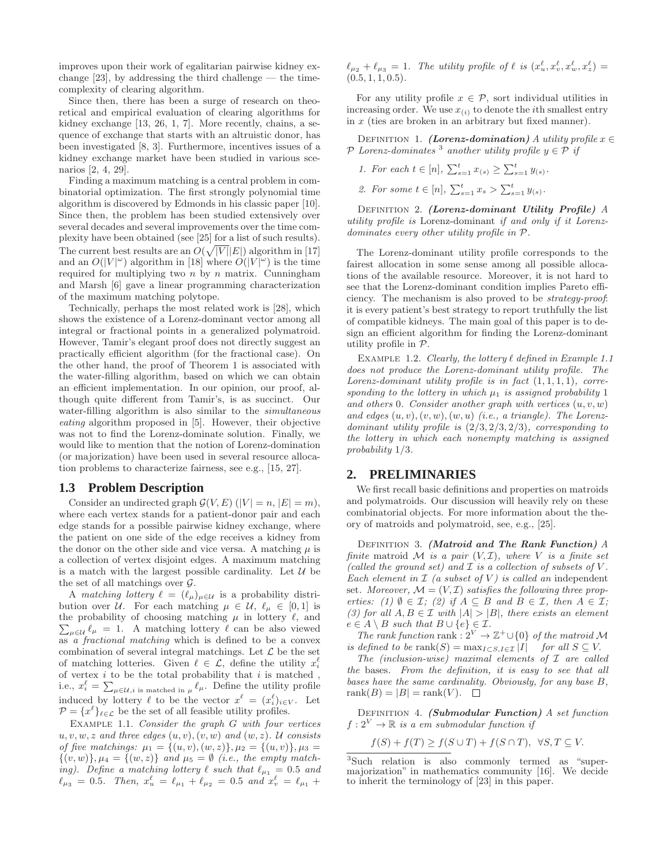improves upon their work of egalitarian pairwise kidney exchange  $[23]$ , by addressing the third challenge — the timecomplexity of clearing algorithm.

Since then, there has been a surge of research on theoretical and empirical evaluation of clearing algorithms for kidney exchange [13, 26, 1, 7]. More recently, chains, a sequence of exchange that starts with an altruistic donor, has been investigated [8, 3]. Furthermore, incentives issues of a kidney exchange market have been studied in various scenarios [2, 4, 29].

Finding a maximum matching is a central problem in combinatorial optimization. The first strongly polynomial time algorithm is discovered by Edmonds in his classic paper [10]. Since then, the problem has been studied extensively over several decades and several improvements over the time complexity have been obtained (see [25] for a list of such results). The current best results are an  $O(\sqrt{|V|}|E|)$  algorithm in [17] and an  $O(|V|^{\omega})$  algorithm in [18] where  $O(|V|^{\omega})$  is the time required for multiplying two  $n$  by  $n$  matrix. Cunningham and Marsh [6] gave a linear programming characterization of the maximum matching polytope.

Technically, perhaps the most related work is [28], which shows the existence of a Lorenz-dominant vector among all integral or fractional points in a generalized polymatroid. However, Tamir's elegant proof does not directly suggest an practically efficient algorithm (for the fractional case). On the other hand, the proof of Theorem 1 is associated with the water-filling algorithm, based on which we can obtain an efficient implementation. In our opinion, our proof, although quite different from Tamir's, is as succinct. Our water-filling algorithm is also similar to the *simultaneous eating* algorithm proposed in [5]. However, their objective was not to find the Lorenz-dominate solution. Finally, we would like to mention that the notion of Lorenz-domination (or majorization) have been used in several resource allocation problems to characterize fairness, see e.g., [15, 27].

#### **1.3 Problem Description**

Consider an undirected graph  $\mathcal{G}(V, E)$   $(|V| = n, |E| = m)$ , where each vertex stands for a patient-donor pair and each edge stands for a possible pairwise kidney exchange, where the patient on one side of the edge receives a kidney from the donor on the other side and vice versa. A matching  $\mu$  is a collection of vertex disjoint edges. A maximum matching is a match with the largest possible cardinality. Let  $\mathcal U$  be the set of all matchings over  $\mathcal{G}$ .

A *matching lottery*  $\ell = (\ell_{\mu})_{\mu \in \mathcal{U}}$  is a probability distribution over U. For each matching  $\mu \in \mathcal{U}, \ell_{\mu} \in [0,1]$  is  $\sum_{\mu\in\mathcal{U}}\ell_{\mu} = 1$ . A matching lottery  $\ell$  can be also viewed the probability of choosing matching  $\mu$  in lottery  $\ell$ , and as *a fractional matching* which is defined to be a convex combination of several integral matchings. Let  $\mathcal L$  be the set of matching lotteries. Given  $\ell \in \mathcal{L}$ , define the utility  $x_i^{\ell}$ of vertex  $i$  to be the total probability that  $i$  is matched, i.e.,  $x_i^{\ell} = \sum_{\mu \in \mathcal{U}, i \text{ is matched in } \mu} \ell_{\mu}$ . Define the utility profile induced by lottery  $\ell$  to be the vector  $x^{\ell} = (x_i^{\ell})_{i \in V}$ . Let  $\mathcal{P} = \{x^{\ell}\}_{\ell \in \mathcal{L}}$  be the set of all feasible utility profiles.

Example 1.1. *Consider the graph* G *with four vertices*  $u, v, w, z$  *and three edges*  $(u, v), (v, w)$  *and*  $(w, z)$ *. U consists of five matchings:*  $\mu_1 = \{(u, v), (w, z)\}, \mu_2 = \{(u, v)\}, \mu_3 =$  $\{(v, w)\}, \mu_4 = \{(w, z)\}$  and  $\mu_5 = \emptyset$  *(i.e., the empty matching*). Define a matching lottery  $\ell$  such that  $\ell_{\mu_1} = 0.5$  and  $\ell_{\mu_3} = 0.5$ . Then,  $x_u^{\ell} = \ell_{\mu_1} + \ell_{\mu_2} = 0.5$  and  $x_v^{\ell} = \ell_{\mu_1} +$ 

 $\ell_{\mu_2} + \ell_{\mu_3} = 1$ . The utility profile of  $\ell$  is  $(x_u^{\ell}, x_v^{\ell}, x_w^{\ell}, x_z^{\ell}) =$ (0.5, 1, 1, 0.5)*.*

For any utility profile  $x \in \mathcal{P}$ , sort individual utilities in increasing order. We use  $x_{(i)}$  to denote the *i*th smallest entry in  $x$  (ties are broken in an arbitrary but fixed manner).

DEFINITION 1. (Lorenz-domination) *A utility profile*  $x \in$  $P$  *Lorenz-dominates* <sup>3</sup> another utility profile  $y \in P$  if

- *1. For each*  $t \in [n], \sum_{s=1}^{t} x_{(s)} \geq \sum_{s=1}^{t} y_{(s)}$ .
- 2. For some  $t \in [n], \sum_{s=1}^{t} x_s > \sum_{s=1}^{t} y_{(s)}$ .

Definition 2. (Lorenz-dominant Utility Profile) *A utility profile is* Lorenz-dominant *if and only if it Lorenzdominates every other utility profile in* P*.*

The Lorenz-dominant utility profile corresponds to the fairest allocation in some sense among all possible allocations of the available resource. Moreover, it is not hard to see that the Lorenz-dominant condition implies Pareto efficiency. The mechanism is also proved to be *strategy-proof*: it is every patient's best strategy to report truthfully the list of compatible kidneys. The main goal of this paper is to design an efficient algorithm for finding the Lorenz-dominant utility profile in P.

EXAMPLE 1.2. *Clearly, the lottery*  $\ell$  *defined in Example 1.1 does not produce the Lorenz-dominant utility profile. The Lorenz-dominant utility profile is in fact* (1, 1, 1, 1)*, corresponding to the lottery in which*  $\mu_1$  *is assigned probability* 1 *and others* 0*. Consider another graph with vertices* (u, v, w) and edges  $(u, v), (v, w), (w, u)$  *(i.e., a triangle). The Lorenzdominant utility profile is* (2/3, 2/3, 2/3)*, corresponding to the lottery in which each nonempty matching is assigned probability* 1/3*.*

## **2. PRELIMINARIES**

We first recall basic definitions and properties on matroids and polymatroids. Our discussion will heavily rely on these combinatorial objects. For more information about the theory of matroids and polymatroid, see, e.g., [25].

Definition 3. (Matroid and The Rank Function) *A finite* matroid M *is a pair*  $(V, \mathcal{I})$ *, where* V *is a finite set (called the ground set) and*  $\mathcal I$  *is a collection of subsets of*  $V$ *. Each element in*  $I$  *(a subset of V) is called an* independent set. Moreover,  $\mathcal{M} = (V, \mathcal{I})$  *satisfies the following three properties:* (1)  $\emptyset \in \mathcal{I}$ ; (2) if  $A \subseteq B$  *and*  $B \in \mathcal{I}$ *, then*  $A \in \mathcal{I}$ *; (3) for all*  $A, B \in \mathcal{I}$  *with*  $|A| > |B|$ *, there exists an element*  $e \in A \setminus B$  *such that*  $B \cup \{e\} \in \mathcal{I}$ .

*The rank function* rank :  $2^V \rightarrow \mathbb{Z}^+ \cup \{0\}$  *of the matroid* M *is defined to be* rank $(S) = \max_{I \subset S, I \in \mathcal{I}} |I|$  *for all*  $S \subseteq V$ .

*The (inclusion-wise) maximal elements of* I *are called the* bases*. From the definition, it is easy to see that all bases have the same cardinality. Obviously, for any base* B*,*  $rank(B) = |B| = rank(V)$ .  $\Box$ 

Definition 4. (Submodular Function) *A set function*  $f: 2^V \to \mathbb{R}$  is a em submodular function if

$$
f(S) + f(T) \ge f(S \cup T) + f(S \cap T), \ \forall S, T \subseteq V.
$$

<sup>3</sup>Such relation is also commonly termed as "supermajorization" in mathematics community [16]. We decide to inherit the terminology of [23] in this paper.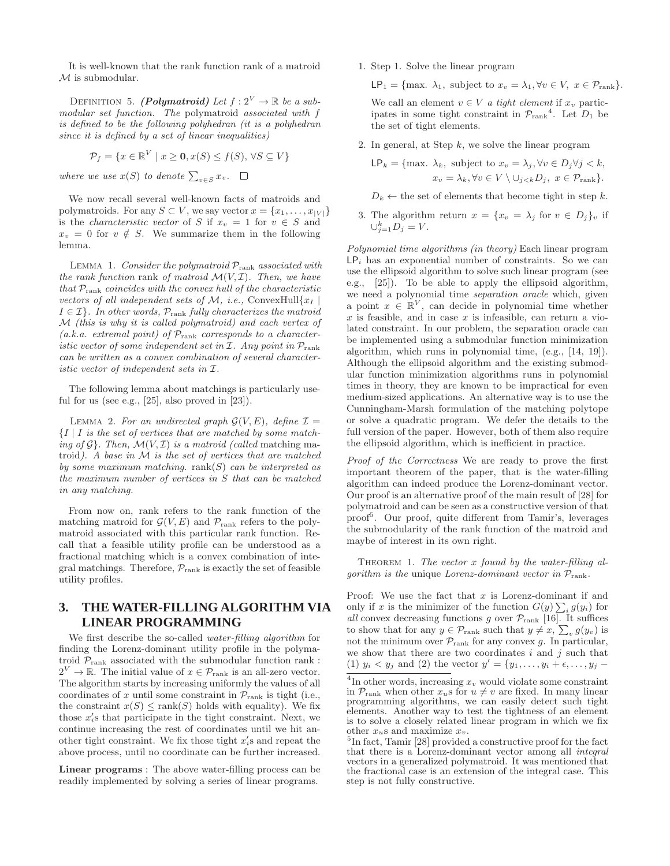It is well-known that the rank function rank of a matroid  $M$  is submodular.

DEFINITION 5. (Polymatroid) Let  $f: 2^V \to \mathbb{R}$  be a sub*modular set function. The* polymatroid *associated with* f *is defined to be the following polyhedran (it is a polyhedran since it is defined by a set of linear inequalities)*

$$
\mathcal{P}_f = \{ x \in \mathbb{R}^V \mid x \ge \mathbf{0}, x(S) \le f(S), \forall S \subseteq V \}
$$

*where we use*  $x(S)$  *to denote*  $\sum_{v \in S} x_v$ .

We now recall several well-known facts of matroids and polymatroids. For any  $S \subset V$ , we say vector  $x = \{x_1, \ldots, x_{|V|}\}\$ is the *characteristic vector* of S if  $x_v = 1$  for  $v \in S$  and  $x_v = 0$  for  $v \notin S$ . We summarize them in the following lemma.

Lemma 1. *Consider the polymatroid* Prank *associated with the rank function* rank *of matroid*  $\mathcal{M}(V, \mathcal{I})$ *. Then, we have that* Prank *coincides with the convex hull of the characteristic vectors of all independent sets of*  $M$ , *i.e.*, ConvexHull $\{x_I\}$  $I \in \mathcal{I}$ *. In other words,*  $\mathcal{P}_{\text{rank}}$  *fully characterizes the matroid* M *(this is why it is called polymatroid) and each vertex of (a.k.a. extremal point) of* Prank *corresponds to a characteristic vector of some independent set in*  $I$ *. Any point in*  $\mathcal{P}_{\text{rank}}$ *can be written as a convex combination of several characteristic vector of independent sets in* I*.*

The following lemma about matchings is particularly useful for us (see e.g.,  $[25]$ , also proved in  $[23]$ ).

LEMMA 2. For an undirected graph  $\mathcal{G}(V, E)$ , define  $\mathcal{I} =$ {I | I *is the set of vertices that are matched by some matching of*  $\mathcal{G}$ . *Then,*  $\mathcal{M}(V, \mathcal{I})$  *is a matroid (called matching ma*troid*). A base in* M *is the set of vertices that are matched by some maximum matching.* rank(S) *can be interpreted as the maximum number of vertices in* S *that can be matched in any matching.*

From now on, rank refers to the rank function of the matching matroid for  $\mathcal{G}(V, E)$  and  $\mathcal{P}_{\text{rank}}$  refers to the polymatroid associated with this particular rank function. Recall that a feasible utility profile can be understood as a fractional matching which is a convex combination of integral matchings. Therefore,  $\mathcal{P}_{\text{rank}}$  is exactly the set of feasible utility profiles.

# **3. THE WATER-FILLING ALGORITHM VIA LINEAR PROGRAMMING**

We first describe the so-called *water-filling algorithm* for finding the Lorenz-dominant utility profile in the polymatroid  $\mathcal{P}_{\text{rank}}$  associated with the submodular function rank :  $2^V \to \mathbb{R}$ . The initial value of  $x \in \mathcal{P}_{\text{rank}}$  is an all-zero vector. The algorithm starts by increasing uniformly the values of all coordinates of x until some constraint in  $\mathcal{P}_{\text{rank}}$  is tight (i.e., the constraint  $x(S) \leq \text{rank}(S)$  holds with equality). We fix those  $x_i$ 's that participate in the tight constraint. Next, we continue increasing the rest of coordinates until we hit another tight constraint. We fix those tight  $x_i$ 's and repeat the above process, until no coordinate can be further increased.

Linear programs : The above water-filling process can be readily implemented by solving a series of linear programs.

1. Step 1. Solve the linear program

 $\mathsf{LP}_1 = \{\text{max. }\lambda_1, \text{ subject to } x_v = \lambda_1, \forall v \in V, x \in \mathcal{P}_{\text{rank}}\}.$ 

We call an element  $v \in V$  *a tight element* if  $x_v$  participates in some tight constraint in  $\mathcal{P}_{\text{rank}}^4$ . Let  $D_1$  be the set of tight elements.

2. In general, at Step  $k$ , we solve the linear program

$$
\mathsf{LP}_k = \{\text{max. }\lambda_k, \text{ subject to } x_v = \lambda_j, \forall v \in D_j \forall j < k, x_v = \lambda_k, \forall v \in V \setminus \cup_{j < k} D_j, \ x \in \mathcal{P}_{\text{rank}}\}.
$$

 $D_k \leftarrow$  the set of elements that become tight in step k.

3. The algorithm return  $x = \{x_v = \lambda_j \text{ for } v \in D_j\}_v$  if  $\cup_{j=1}^k D_j = V.$ 

*Polynomial time algorithms (in theory)* Each linear program  $\mathsf{LP}_i$  has an exponential number of constraints. So we can use the ellipsoid algorithm to solve such linear program (see e.g., [25]). To be able to apply the ellipsoid algorithm, we need a polynomial time *separation oracle* which, given a point  $x \in \mathbb{R}^V$ , can decide in polynomial time whether  $x$  is feasible, and in case  $x$  is infeasible, can return a violated constraint. In our problem, the separation oracle can be implemented using a submodular function minimization algorithm, which runs in polynomial time, (e.g., [14, 19]). Although the ellipsoid algorithm and the existing submodular function minimization algorithms runs in polynomial times in theory, they are known to be impractical for even medium-sized applications. An alternative way is to use the Cunningham-Marsh formulation of the matching polytope or solve a quadratic program. We defer the details to the full version of the paper. However, both of them also require the ellipsoid algorithm, which is inefficient in practice.

*Proof of the Correctness* We are ready to prove the first important theorem of the paper, that is the water-filling algorithm can indeed produce the Lorenz-dominant vector. Our proof is an alternative proof of the main result of [28] for polymatroid and can be seen as a constructive version of that proof<sup>5</sup> . Our proof, quite different from Tamir's, leverages the submodularity of the rank function of the matroid and maybe of interest in its own right.

THEOREM 1. The vector x found by the water-filling al*gorithm is the* unique *Lorenz-dominant vector in* Prank*.*

Proof: We use the fact that  $x$  is Lorenz-dominant if and only if x is the minimizer of the function  $G(y) \sum_i g(y_i)$  for *all* convex decreasing functions g over  $\mathcal{P}_{\text{rank}}$  [16]. It suffices to show that for any  $y \in \mathcal{P}_{\text{rank}}$  such that  $y \neq x$ ,  $\sum_{v} g(y_v)$  is not the minimum over  $\mathcal{P}_{\mathrm{rank}}$  for any convex g. In particular, we show that there are two coordinates  $i$  and  $j$  such that (1)  $y_i < y_j$  and (2) the vector  $y' = \{y_1, ..., y_i + \epsilon, ..., y_j - \epsilon\}$ 

<sup>&</sup>lt;sup>4</sup>In other words, increasing  $x_v$  would violate some constraint in  $\mathcal{P}_{\text{rank}}$  when other  $x_u$ s for  $u \neq v$  are fixed. In many linear programming algorithms, we can easily detect such tight elements. Another way to test the tightness of an element is to solve a closely related linear program in which we fix other  $x<sub>u</sub>$ s and maximize  $x<sub>v</sub>$ .

<sup>&</sup>lt;sup>5</sup>In fact, Tamir [28] provided a constructive proof for the fact that there is a Lorenz-dominant vector among all *integral* vectors in a generalized polymatroid. It was mentioned that the fractional case is an extension of the integral case. This step is not fully constructive.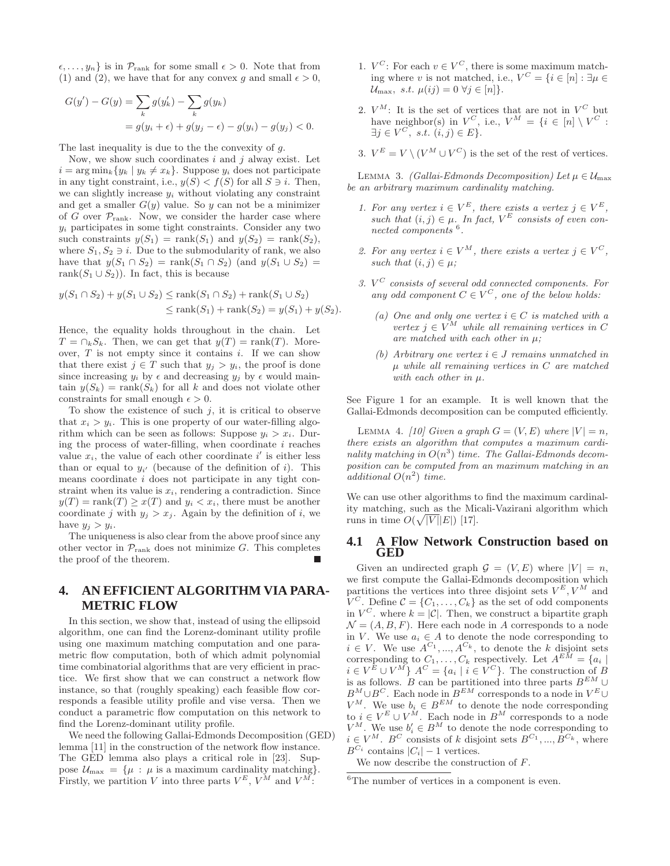$\{\epsilon, \ldots, y_n\}$  is in  $\mathcal{P}_{\text{rank}}$  for some small  $\epsilon > 0$ . Note that from (1) and (2), we have that for any convex q and small  $\epsilon > 0$ ,

$$
G(y') - G(y) = \sum_{k} g(y'_k) - \sum_{k} g(y_k)
$$
  
=  $g(y_i + \epsilon) + g(y_j - \epsilon) - g(y_i) - g(y_j) < 0.$ 

The last inequality is due to the the convexity of g.

Now, we show such coordinates  $i$  and  $j$  alway exist. Let  $i = \arg \min_k \{ y_k | y_k \neq x_k \}.$  Suppose  $y_i$  does not participate in any tight constraint, i.e.,  $y(S) < f(S)$  for all  $S \ni i$ . Then, we can slightly increase  $y_i$  without violating any constraint and get a smaller  $G(y)$  value. So y can not be a minimizer of G over  $\mathcal{P}_{\text{rank}}$ . Now, we consider the harder case where  $y_i$  participates in some tight constraints. Consider any two such constraints  $y(S_1) = \text{rank}(S_1)$  and  $y(S_2) = \text{rank}(S_2)$ , where  $S_1, S_2 \ni i$ . Due to the submodularity of rank, we also have that  $y(S_1 \cap S_2) = \operatorname{rank}(S_1 \cap S_2)$  (and  $y(S_1 \cup S_2) =$ rank $(S_1 \cup S_2)$ ). In fact, this is because

$$
y(S_1 \cap S_2) + y(S_1 \cup S_2) \le \text{rank}(S_1 \cap S_2) + \text{rank}(S_1 \cup S_2)
$$
  

$$
\le \text{rank}(S_1) + \text{rank}(S_2) = y(S_1) + y(S_2).
$$

Hence, the equality holds throughout in the chain. Let  $T = \bigcap_k S_k$ . Then, we can get that  $y(T) = \text{rank}(T)$ . Moreover,  $T$  is not empty since it contains  $i$ . If we can show that there exist  $j \in T$  such that  $y_j > y_i$ , the proof is done since increasing  $y_i$  by  $\epsilon$  and decreasing  $y_j$  by  $\epsilon$  would maintain  $y(S_k) = \text{rank}(S_k)$  for all k and does not violate other constraints for small enough  $\epsilon > 0$ .

To show the existence of such  $j$ , it is critical to observe that  $x_i > y_i$ . This is one property of our water-filling algorithm which can be seen as follows: Suppose  $y_i > x_i$ . During the process of water-filling, when coordinate  $i$  reaches value  $x_i$ , the value of each other coordinate i' is either less than or equal to  $y_{i'}$  (because of the definition of i). This means coordinate i does not participate in any tight constraint when its value is  $x_i$ , rendering a contradiction. Since  $y(T) = \text{rank}(T) \geq x(T)$  and  $y_i < x_i$ , there must be another coordinate j with  $y_i > x_j$ . Again by the definition of i, we have  $y_i > y_i$ .

The uniqueness is also clear from the above proof since any other vector in  $\mathcal{P}_{\text{rank}}$  does not minimize G. This completes the proof of the theorem.

# **4. AN EFFICIENT ALGORITHM VIA PARA-METRIC FLOW**

In this section, we show that, instead of using the ellipsoid algorithm, one can find the Lorenz-dominant utility profile using one maximum matching computation and one parametric flow computation, both of which admit polynomial time combinatorial algorithms that are very efficient in practice. We first show that we can construct a network flow instance, so that (roughly speaking) each feasible flow corresponds a feasible utility profile and vise versa. Then we conduct a parametric flow computation on this network to find the Lorenz-dominant utility profile.

We need the following Gallai-Edmonds Decomposition (GED) lemma [11] in the construction of the network flow instance. The GED lemma also plays a critical role in [23]. Suppose  $\mathcal{U}_{\text{max}} = {\mu : \mu \text{ is a maximum cardinality matching}}$ . Firstly, we partition V into three parts  $V^{E}$ ,  $V^{M}$  and  $V^{M}$ :

- 1.  $V^C$ : For each  $v \in V^C$ , there is some maximum matching where v is not matched, i.e.,  $V^C = \{i \in [n] : \exists \mu \in$  $\mathcal{U}_{\text{max}}$ , s.t.  $\mu(ij) = 0 \ \forall j \in [n]$ .
- 2.  $V^M$ : It is the set of vertices that are not in  $V^C$  but have neighbor(s) in  $V^C$ , i.e.,  $V^M = \{i \in [n] \setminus V^C :$  $\exists j \in V^C, \ s.t. \ (i,j) \in E$ .
- 3.  $V^{E} = V \setminus (V^{M} \cup V^{C})$  is the set of the rest of vertices.

LEMMA 3. *(Gallai-Edmonds Decomposition)* Let  $\mu \in \mathcal{U}_{\text{max}}$ *be an arbitrary maximum cardinality matching.*

- *1. For any vertex*  $i \in V^E$ , there exists a vertex  $j \in V^E$ , such that  $(i, j) \in \mu$ . In fact,  $V^E$  consists of even con*nected components* <sup>6</sup> *.*
- 2. For any vertex  $i \in V^M$ , there exists a vertex  $j \in V^C$ , *such that*  $(i, j) \in \mu$ ;
- *3.* V <sup>C</sup> *consists of several odd connected components. For* any odd component  $C \in V^C$ , one of the below holds:
	- $(a)$  One and only one vertex  $i \in C$  *is matched with a*  $vertex j \in V^M$  *while all remaining vertices in C are matched with each other in* µ*;*
	- *(b) Arbitrary one vertex* i ∈ J *remains unmatched in* µ *while all remaining vertices in* C *are matched with each other in* µ*.*

See Figure 1 for an example. It is well known that the Gallai-Edmonds decomposition can be computed efficiently.

LEMMA 4. *[10] Given a graph*  $G = (V, E)$  *where*  $|V| = n$ , *there exists an algorithm that computes a maximum cardi*nality matching in  $O(n^3)$  time. The Gallai-Edmonds decom*position can be computed from an maximum matching in an additional*  $O(n^2)$  *time.* 

We can use other algorithms to find the maximum cardinality matching, such as the Micali-Vazirani algorithm which runs in time  $O(\sqrt{|V|}|E|)$  [17].

## **4.1 A Flow Network Construction based on GED**

Given an undirected graph  $\mathcal{G} = (V, E)$  where  $|V| = n$ , we first compute the Gallai-Edmonds decomposition which partitions the vertices into three disjoint sets  $V^{E}$ ,  $V^{M}$  and  $V^C$ . Define  $\mathcal{C} = \{C_1, \ldots, C_k\}$  as the set of odd components in  $V^C$ , where  $k = |\mathcal{C}|$ . Then, we construct a bipartite graph  $\mathcal{N} = (A, B, F)$ . Here each node in A corresponds to a node in V. We use  $a_i \in A$  to denote the node corresponding to  $i \in V$ . We use  $A^{C_1},..., A^{C_k}$ , to denote the k disjoint sets corresponding to  $C_1, \ldots, C_k$  respectively. Let  $A^{EM} = \{a_i \mid$  $i \in V^E \cup V^M$   $A^C = \{a_i \mid i \in V^C\}$ . The construction of B is as follows. B can be partitioned into three parts  $B^{EM} \cup$  $B^M \cup B^C$ . Each node in  $B^{EM}$  corresponds to a node in  $V^E \cup$  $V^M$ . We use  $b_i \in B^{EM}$  to denote the node corresponding to  $i \in V^E \cup V^M$ . Each node in  $B^M$  corresponds to a node  $V^M$ . We use  $b'_i \in B^M$  to denote the node corresponding to  $i \in V^M$ .  $B^C$  consists of k disjoint sets  $B^{C_1}, ..., B^{C_k}$ , where  $B^{C_i}$  contains  $|C_i| - 1$  vertices.

We now describe the construction of F.

<sup>&</sup>lt;sup>6</sup>The number of vertices in a component is even.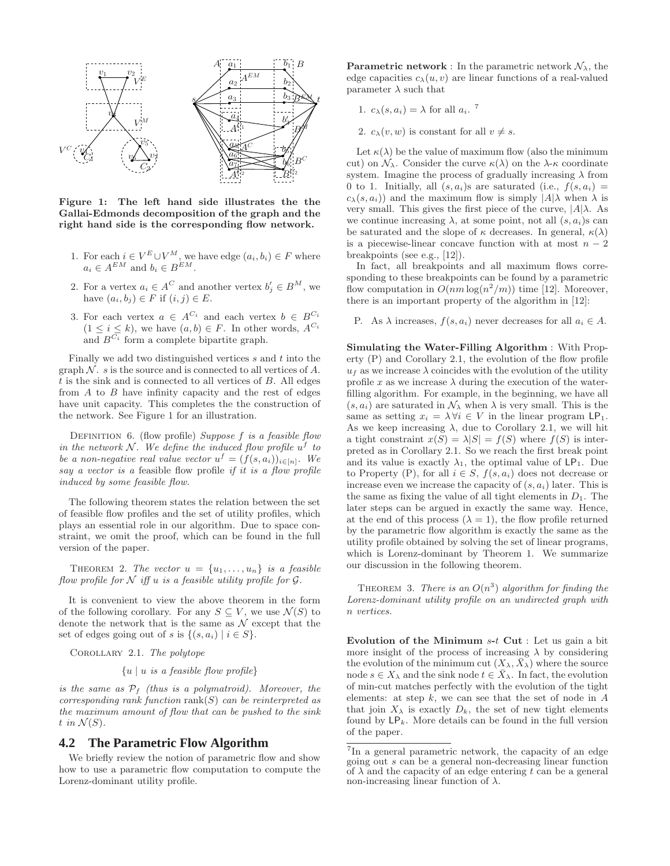

Figure 1: The left hand side illustrates the the Gallai-Edmonds decomposition of the graph and the right hand side is the corresponding flow network.

- 1. For each  $i \in V^E \cup V^M$ , we have edge  $(a_i, b_i) \in F$  where  $a_i \in A^{EM}$  and  $b_i \in B^{EM}$ .
- 2. For a vertex  $a_i \in A^C$  and another vertex  $b'_j \in B^M$ , we have  $(a_i, b_j) \in F$  if  $(i, j) \in E$ .
- 3. For each vertex  $a \in A^{C_i}$  and each vertex  $b \in B^{C_i}$  $(1 \leq i \leq k)$ , we have  $(a, b) \in F$ . In other words,  $A^{C_i}$ and  $B^{C_i}$  form a complete bipartite graph.

Finally we add two distinguished vertices  $s$  and  $t$  into the graph  $N$ . s is the source and is connected to all vertices of A.  $t$  is the sink and is connected to all vertices of  $B$ . All edges from A to B have infinity capacity and the rest of edges have unit capacity. This completes the the construction of the network. See Figure 1 for an illustration.

Definition 6. (flow profile) *Suppose* f *is a feasible flow in the network*  $N$ *. We define the induced flow profile*  $u^f$  to *be a non-negative real value vector*  $u^f = (f(s, a_i))_{i \in [n]}$ . We *say a vector is a* feasible flow profile *if it is a flow profile induced by some feasible flow.*

The following theorem states the relation between the set of feasible flow profiles and the set of utility profiles, which plays an essential role in our algorithm. Due to space constraint, we omit the proof, which can be found in the full version of the paper.

THEOREM 2. The vector  $u = \{u_1, \ldots, u_n\}$  is a feasible *flow profile for*  $N$  *iff*  $u$  *is a feasible utility profile for*  $G$ *.* 

It is convenient to view the above theorem in the form of the following corollary. For any  $S \subseteq V$ , we use  $\mathcal{N}(S)$  to denote the network that is the same as  $\mathcal N$  except that the set of edges going out of s is  $\{(s, a_i) \mid i \in S\}.$ 

Corollary 2.1. *The polytope*

{u | u *is a feasible flow profile*}

*is the same as* P<sup>f</sup> *(thus is a polymatroid). Moreover, the corresponding rank function* rank(S) *can be reinterpreted as the maximum amount of flow that can be pushed to the sink*  $t$  *in*  $\mathcal{N}(S)$ .

## **4.2 The Parametric Flow Algorithm**

We briefly review the notion of parametric flow and show how to use a parametric flow computation to compute the Lorenz-dominant utility profile.

**Parametric network**: In the parametric network  $\mathcal{N}_{\lambda}$ , the edge capacities  $c_{\lambda}(u, v)$  are linear functions of a real-valued parameter  $\lambda$  such that

- 1.  $c_{\lambda}(s, a_i) = \lambda$  for all  $a_i$ .<sup>7</sup>
- 2.  $c_{\lambda}(v, w)$  is constant for all  $v \neq s$ .

Let  $\kappa(\lambda)$  be the value of maximum flow (also the minimum cut) on  $\mathcal{N}_{\lambda}$ . Consider the curve  $\kappa(\lambda)$  on the  $\lambda$ - $\kappa$  coordinate system. Imagine the process of gradually increasing  $\lambda$  from 0 to 1. Initially, all  $(s, a_i)$ s are saturated (i.e.,  $f(s, a_i)$ )  $c_{\lambda}(s, a_i)$  and the maximum flow is simply  $|A|\lambda$  when  $\lambda$  is very small. This gives the first piece of the curve,  $|A|\lambda$ . As we continue increasing  $\lambda$ , at some point, not all  $(s, a_i)$ s can be saturated and the slope of  $\kappa$  decreases. In general,  $\kappa(\lambda)$ is a piecewise-linear concave function with at most  $n-2$ breakpoints (see e.g., [12]).

In fact, all breakpoints and all maximum flows corresponding to these breakpoints can be found by a parametric flow computation in  $O(nm \log(n^2/m))$  time [12]. Moreover, there is an important property of the algorithm in [12]:

P. As  $\lambda$  increases,  $f(s, a_i)$  never decreases for all  $a_i \in A$ .

Simulating the Water-Filling Algorithm : With Property (P) and Corollary 2.1, the evolution of the flow profile  $u_f$  as we increase  $\lambda$  coincides with the evolution of the utility profile x as we increase  $\lambda$  during the execution of the waterfilling algorithm. For example, in the beginning, we have all  $(s, a_i)$  are saturated in  $\mathcal{N}_{\lambda}$  when  $\lambda$  is very small. This is the same as setting  $x_i = \lambda \forall i \in V$  in the linear program  $\mathsf{LP}_1$ . As we keep increasing  $\lambda$ , due to Corollary 2.1, we will hit a tight constraint  $x(S) = \lambda |S| = f(S)$  where  $f(S)$  is interpreted as in Corollary 2.1. So we reach the first break point and its value is exactly  $\lambda_1$ , the optimal value of LP<sub>1</sub>. Due to Property (P), for all  $i \in S$ ,  $f(s, a_i)$  does not decrease or increase even we increase the capacity of  $(s, a_i)$  later. This is the same as fixing the value of all tight elements in  $D_1$ . The later steps can be argued in exactly the same way. Hence, at the end of this process  $(\lambda = 1)$ , the flow profile returned by the parametric flow algorithm is exactly the same as the utility profile obtained by solving the set of linear programs, which is Lorenz-dominant by Theorem 1. We summarize our discussion in the following theorem.

THEOREM 3. *There is an*  $O(n^3)$  *algorithm for finding the Lorenz-dominant utility profile on an undirected graph with* n *vertices.*

Evolution of the Minimum  $s-t$  Cut : Let us gain a bit more insight of the process of increasing  $\lambda$  by considering the evolution of the minimum cut  $(X_{\lambda}, \bar{X}_{\lambda})$  where the source node  $s \in X_\lambda$  and the sink node  $t \in \overline{X}_\lambda$ . In fact, the evolution of min-cut matches perfectly with the evolution of the tight elements: at step  $k$ , we can see that the set of node in  $A$ that join  $X_{\lambda}$  is exactly  $D_k$ , the set of new tight elements found by  $\mathsf{LP}_k$ . More details can be found in the full version of the paper.

<sup>7</sup> In a general parametric network, the capacity of an edge going out s can be a general non-decreasing linear function of  $\lambda$  and the capacity of an edge entering t can be a general non-increasing linear function of  $λ$ .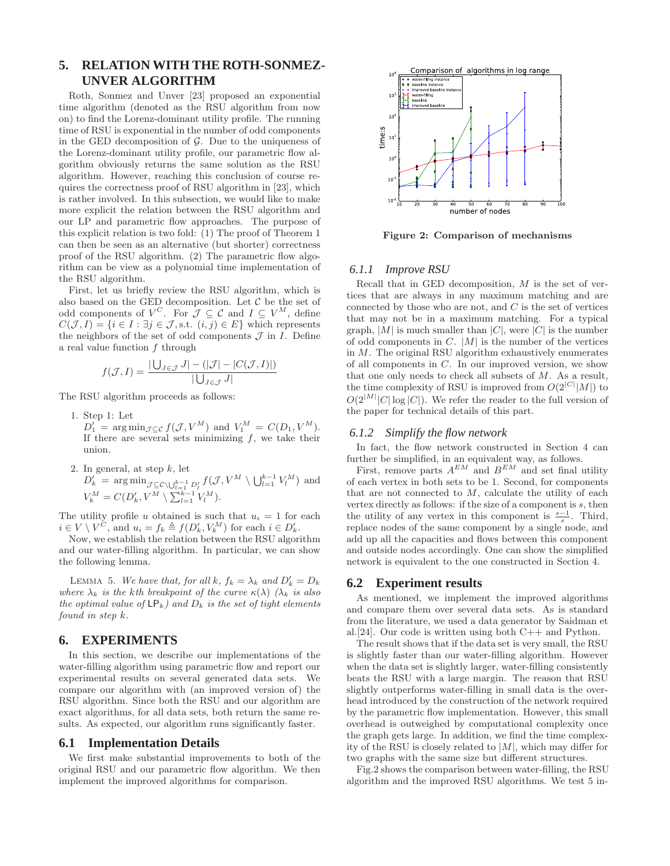# **5. RELATION WITH THE ROTH-SONMEZ-UNVER ALGORITHM**

Roth, Sonmez and Unver [23] proposed an exponential time algorithm (denoted as the RSU algorithm from now on) to find the Lorenz-dominant utility profile. The running time of RSU is exponential in the number of odd components in the GED decomposition of  $\mathcal{G}$ . Due to the uniqueness of the Lorenz-dominant utility profile, our parametric flow algorithm obviously returns the same solution as the RSU algorithm. However, reaching this conclusion of course requires the correctness proof of RSU algorithm in [23], which is rather involved. In this subsection, we would like to make more explicit the relation between the RSU algorithm and our LP and parametric flow approaches. The purpose of this explicit relation is two fold: (1) The proof of Theorem 1 can then be seen as an alternative (but shorter) correctness proof of the RSU algorithm. (2) The parametric flow algorithm can be view as a polynomial time implementation of the RSU algorithm.

First, let us briefly review the RSU algorithm, which is also based on the GED decomposition. Let  $\mathcal C$  be the set of odd components of  $V^C$ . For  $\mathcal{J} \subseteq \mathcal{C}$  and  $I \subseteq V^M$ , define  $C(\mathcal{J}, I) = \{i \in I : \exists j \in \mathcal{J}, \text{s.t.} (i, j) \in E\}$  which represents the neighbors of the set of odd components  $\mathcal J$  in  $I$ . Define a real value function  $f$  through

$$
f(\mathcal{J}, I) = \frac{|\bigcup_{J \in \mathcal{J}} J| - (|\mathcal{J}| - |C(\mathcal{J}, I)|)}{|\bigcup_{J \in \mathcal{J}} J|}
$$

The RSU algorithm proceeds as follows:

- 1. Step 1: Let
- $D'_1$  = arg min<sub> $\mathcal{J} \subseteq c$ </sub>  $f(\mathcal{J}, V^M)$  and  $V_1^M = C(D_1, V^M)$ . If there are several sets minimizing  $f$ , we take their union.
- 2. In general, at step  $k$ , let  $D'_{k}$  =  $\arg\min_{\mathcal{J}\subseteq\mathcal{C}\setminus\bigcup_{l=1}^{k-1} D'_{l}} f(\mathcal{J}, V^{M}\setminus\bigcup_{l=1}^{k-1} V^{M}_{l})$  and  $V_k^M = C(D'_k, V^M \setminus \sum_{l=1}^{k-1} V_l^M).$

The utility profile u obtained is such that  $u_i = 1$  for each  $i \in V \setminus V^{\tilde{C}}$ , and  $u_i = f_k \triangleq f(D'_k, V^K_k)$  for each  $i \in D'_k$ .

Now, we establish the relation between the RSU algorithm and our water-filling algorithm. In particular, we can show the following lemma.

LEMMA 5. We have that, for all  $k$ ,  $f_k = \lambda_k$  and  $D'_k = D_k$ *where*  $\lambda_k$  *is the kth breakpoint of the curve*  $\kappa(\lambda)$   $(\lambda_k$  *is also the optimal value of*  $\mathsf{LP}_k$ *) and*  $D_k$  *is the set of tight elements found in step* k*.*

# **6. EXPERIMENTS**

In this section, we describe our implementations of the water-filling algorithm using parametric flow and report our experimental results on several generated data sets. We compare our algorithm with (an improved version of) the RSU algorithm. Since both the RSU and our algorithm are exact algorithms, for all data sets, both return the same results. As expected, our algorithm runs significantly faster.

#### **6.1 Implementation Details**

We first make substantial improvements to both of the original RSU and our parametric flow algorithm. We then implement the improved algorithms for comparison.



Figure 2: Comparison of mechanisms

## *6.1.1 Improve RSU*

Recall that in GED decomposition,  $M$  is the set of vertices that are always in any maximum matching and are connected by those who are not, and  $C$  is the set of vertices that may not be in a maximum matching. For a typical graph,  $|M|$  is much smaller than  $|C|$ , were  $|C|$  is the number of odd components in  $C$ .  $|M|$  is the number of the vertices in M. The original RSU algorithm exhaustively enumerates of all components in C. In our improved version, we show that one only needs to check all subsets of M. As a result, the time complexity of RSU is improved from  $O(2^{|C|}|M|)$  to  $O(2^{|M|} |C| \log |C|)$ . We refer the reader to the full version of the paper for technical details of this part.

#### *6.1.2 Simplify the flow network*

In fact, the flow network constructed in Section 4 can further be simplified, in an equivalent way, as follows.

First, remove parts  $A^{EM}$  and  $B^{EM}$  and set final utility of each vertex in both sets to be 1. Second, for components that are not connected to  $M$ , calculate the utility of each vertex directly as follows: if the size of a component is  $s$ , then the utility of any vertex in this component is  $\frac{s-1}{s}$ . Third, replace nodes of the same component by a single node, and add up all the capacities and flows between this component and outside nodes accordingly. One can show the simplified network is equivalent to the one constructed in Section 4.

## **6.2 Experiment results**

As mentioned, we implement the improved algorithms and compare them over several data sets. As is standard from the literature, we used a data generator by Saidman et al.[24]. Our code is written using both C++ and Python.

The result shows that if the data set is very small, the RSU is slightly faster than our water-filling algorithm. However when the data set is slightly larger, water-filling consistently beats the RSU with a large margin. The reason that RSU slightly outperforms water-filling in small data is the overhead introduced by the construction of the network required by the parametric flow implementation. However, this small overhead is outweighed by computational complexity once the graph gets large. In addition, we find the time complexity of the RSU is closely related to  $|M|$ , which may differ for two graphs with the same size but different structures.

Fig.2 shows the comparison between water-filling, the RSU algorithm and the improved RSU algorithms. We test 5 in-